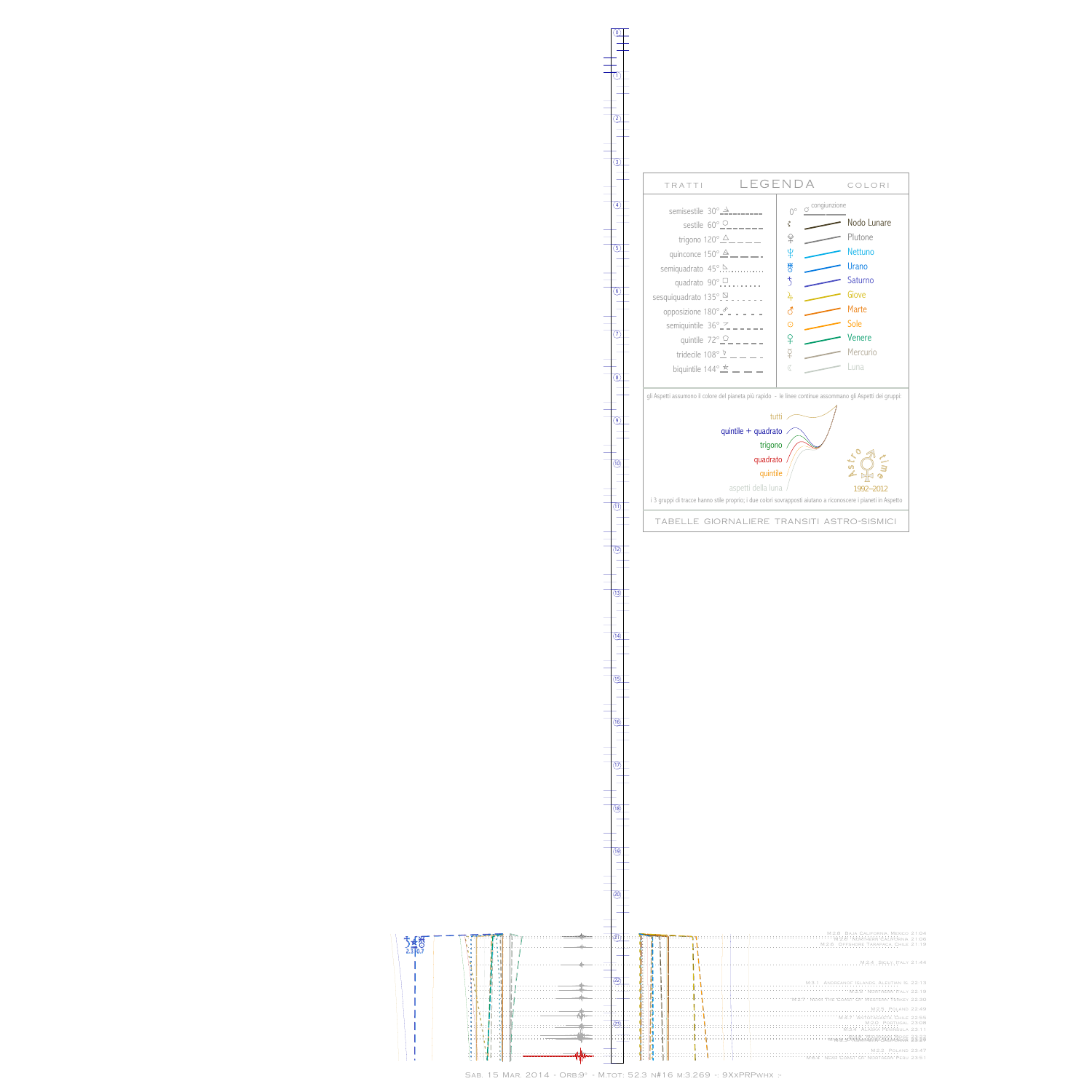